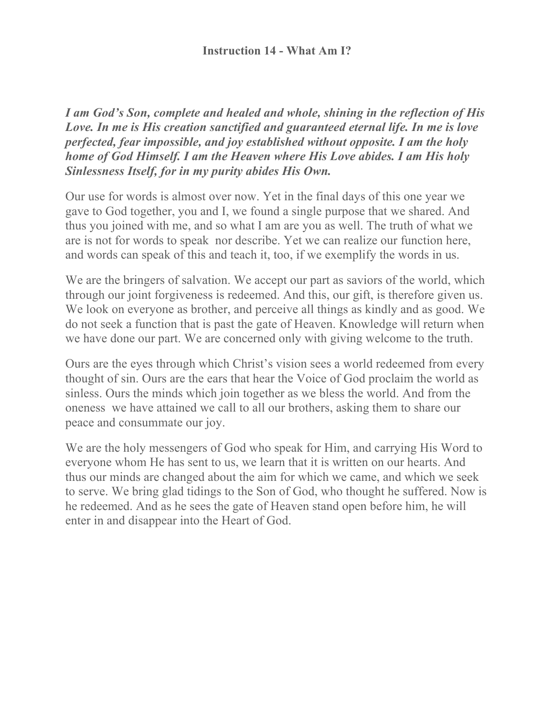*I am God's Son, complete and healed and whole, shining in the reflection of His Love. In me is His creation sanctified and guaranteed eternal life. In me is love perfected, fear impossible, and joy established without opposite. I am the holy home of God Himself. I am the Heaven where His Love abides. I am His holy Sinlessness Itself, for in my purity abides His Own.*

Our use for words is almost over now. Yet in the final days of this one year we gave to God together, you and I, we found a single purpose that we shared. And thus you joined with me, and so what I am are you as well. The truth of what we are is not for words to speak nor describe. Yet we can realize our function here, and words can speak of this and teach it, too, if we exemplify the words in us.

We are the bringers of salvation. We accept our part as saviors of the world, which through our joint forgiveness is redeemed. And this, our gift, is therefore given us. We look on everyone as brother, and perceive all things as kindly and as good. We do not seek a function that is past the gate of Heaven. Knowledge will return when we have done our part. We are concerned only with giving welcome to the truth.

Ours are the eyes through which Christ's vision sees a world redeemed from every thought of sin. Ours are the ears that hear the Voice of God proclaim the world as sinless. Ours the minds which join together as we bless the world. And from the oneness we have attained we call to all our brothers, asking them to share our peace and consummate our joy.

We are the holy messengers of God who speak for Him, and carrying His Word to everyone whom He has sent to us, we learn that it is written on our hearts. And thus our minds are changed about the aim for which we came, and which we seek to serve. We bring glad tidings to the Son of God, who thought he suffered. Now is he redeemed. And as he sees the gate of Heaven stand open before him, he will enter in and disappear into the Heart of God.